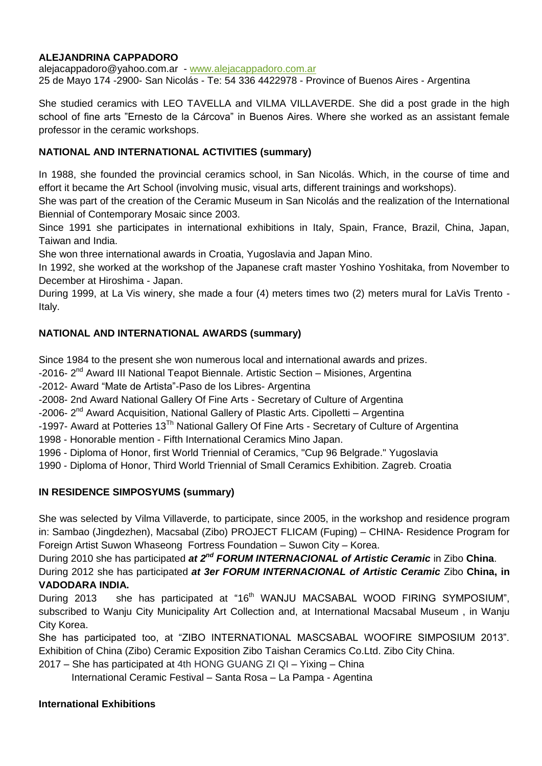## **ALEJANDRINA CAPPADORO**

[alejacappadoro@yahoo.com.ar](mailto:alejacappadoro@yahoo.com.ar) - [www.alejacappadoro.com.ar](http://www.alejacappadoro.com.ar/) 25 de Mayo 174 -2900- San Nicolás - Te: 54 336 4422978 - Province of Buenos Aires - Argentina

She studied ceramics with LEO TAVELLA and VILMA VILLAVERDE. She did a post grade in the high school of fine arts "Ernesto de la Cárcova" in Buenos Aires. Where she worked as an assistant female professor in the ceramic workshops.

## **NATIONAL AND INTERNATIONAL ACTIVITIES (summary)**

In 1988, she founded the provincial ceramics school, in San Nicolás. Which, in the course of time and effort it became the Art School (involving music, visual arts, different trainings and workshops).

She was part of the creation of the Ceramic Museum in San Nicolás and the realization of the International Biennial of Contemporary Mosaic since 2003.

Since 1991 she participates in international exhibitions in Italy, Spain, France, Brazil, China, Japan, Taiwan and India.

She won three international awards in Croatia, Yugoslavia and Japan Mino.

In 1992, she worked at the workshop of the Japanese craft master Yoshino Yoshitaka, from November to December at Hiroshima - Japan.

During 1999, at La Vis winery, she made a four (4) meters times two (2) meters mural for LaVis Trento - Italy.

### **NATIONAL AND INTERNATIONAL AWARDS (summary)**

Since 1984 to the present she won numerous local and international awards and prizes.

-2016- 2<sup>nd</sup> Award III National Teapot Biennale. Artistic Section - Misiones, Argentina

-2012- Award "Mate de Artista"-Paso de los Libres- Argentina

-2008- 2nd Award National Gallery Of Fine Arts - Secretary of Culture of Argentina

-2006- 2<sup>nd</sup> Award Acquisition, National Gallery of Plastic Arts. Cipolletti – Argentina

-1997- Award at Potteries 13<sup>Th</sup> National Gallery Of Fine Arts - Secretary of Culture of Argentina

1998 - Honorable mention - Fifth International Ceramics Mino Japan.

1996 - Diploma of Honor, first World Triennial of Ceramics, "Cup 96 Belgrade." Yugoslavia

1990 - Diploma of Honor, Third World Triennial of Small Ceramics Exhibition. Zagreb. Croatia

#### **IN RESIDENCE SIMPOSYUMS (summary)**

She was selected by Vilma Villaverde, to participate, since 2005, in the workshop and residence program in: Sambao (Jingdezhen), Macsabal (Zibo) PROJECT FLICAM (Fuping) – CHINA- Residence Program for Foreign Artist Suwon Whaseong Fortress Foundation – Suwon City – Korea.

During 2010 she has participated *at 2nd FORUM INTERNACIONAL of Artistic Ceramic* in Zibo **China**. During 2012 she has participated *at 3er FORUM INTERNACIONAL of Artistic Ceramic* Zibo **China, in VADODARA INDIA.** 

During 2013 she has participated at "16<sup>th</sup> WANJU MACSABAL WOOD FIRING SYMPOSIUM", subscribed to Wanju City Municipality Art Collection and, at International Macsabal Museum , in Wanju City Korea.

She has participated too, at "ZIBO INTERNATIONAL MASCSABAL WOOFIRE SIMPOSIUM 2013". Exhibition of China (Zibo) Ceramic Exposition Zibo Taishan Ceramics Co.Ltd. Zibo City China.

2017 – She has participated at [4th HONG GUANG ZI QI](https://www.facebook.com/100003114310596/posts/1270081609772304/) – Yixing – China

International Ceramic Festival – Santa Rosa – La Pampa - Agentina

#### **International Exhibitions**